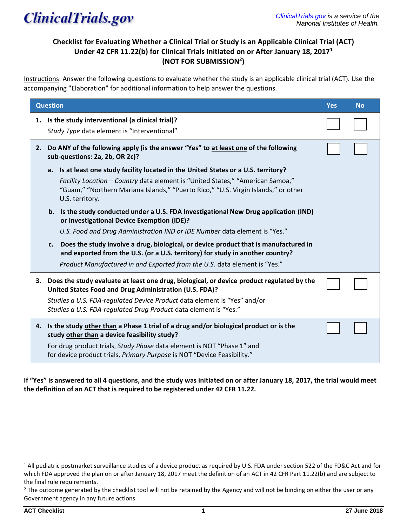

## **Checklist for Evaluating Whether a Clinical Trial or Study is an Applicable Clinical Trial (ACT) Under 42 CFR 11.22(b) for Clinical Trials Initiated on or After January 18, 2017<sup>1</sup> (NOT FOR SUBMISSION<sup>2</sup> )**

Instructions: Answer the following questions to evaluate whether the study is an applicable clinical trial (ACT). Use the accompanying "Elaboration" for additional information to help answer the questions.

| <b>Question</b> |                                                                                                                                                                                                                                                                                                     | <b>Yes</b> | <b>No</b> |
|-----------------|-----------------------------------------------------------------------------------------------------------------------------------------------------------------------------------------------------------------------------------------------------------------------------------------------------|------------|-----------|
|                 | 1. Is the study interventional (a clinical trial)?<br>Study Type data element is "Interventional"                                                                                                                                                                                                   |            |           |
| 2.              | Do ANY of the following apply (is the answer "Yes" to at least one of the following<br>sub-questions: 2a, 2b, OR 2c)?                                                                                                                                                                               |            |           |
|                 | Is at least one study facility located in the United States or a U.S. territory?<br>a.<br>Facility Location - Country data element is "United States," "American Samoa,"<br>"Guam," "Northern Mariana Islands," "Puerto Rico," "U.S. Virgin Islands," or other<br>U.S. territory.                   |            |           |
|                 | b. Is the study conducted under a U.S. FDA Investigational New Drug application (IND)<br>or Investigational Device Exemption (IDE)?<br>U.S. Food and Drug Administration IND or IDE Number data element is "Yes."                                                                                   |            |           |
|                 | Does the study involve a drug, biological, or device product that is manufactured in<br>c.<br>and exported from the U.S. (or a U.S. territory) for study in another country?<br>Product Manufactured in and Exported from the U.S. data element is "Yes."                                           |            |           |
| З.              | Does the study evaluate at least one drug, biological, or device product regulated by the<br>United States Food and Drug Administration (U.S. FDA)?<br>Studies a U.S. FDA-regulated Device Product data element is "Yes" and/or<br>Studies a U.S. FDA-regulated Drug Product data element is "Yes." |            |           |
| 4.              | Is the study other than a Phase 1 trial of a drug and/or biological product or is the<br>study other than a device feasibility study?<br>For drug product trials, Study Phase data element is NOT "Phase 1" and<br>for device product trials, Primary Purpose is NOT "Device Feasibility."          |            |           |

**If "Yes" is answered to all 4 questions, and the study was initiated on or after January 18, 2017, the trial would meet the definition of an ACT that is required to be registered under 42 CFR 11.22.**

<sup>1</sup> All pediatric postmarket surveillance studies of a device product as required by U.S. FDA under section 522 of the FD&C Act and for which FDA approved the plan on or after January 18, 2017 meet the definition of an ACT in 42 CFR Part 11.22(b) and are subject to the final rule requirements.

<sup>&</sup>lt;sup>2</sup> The outcome generated by the checklist tool will not be retained by the Agency and will not be binding on either the user or any Government agency in any future actions.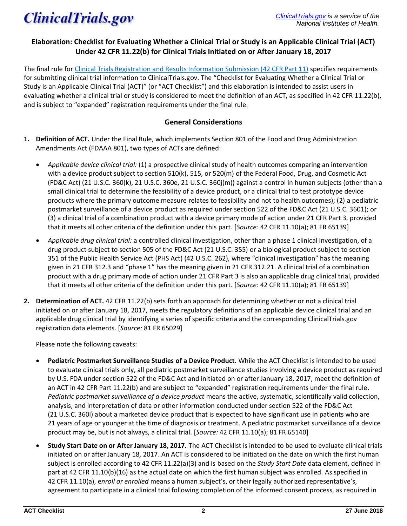

## **Elaboration: Checklist for Evaluating Whether a Clinical Trial or Study is an Applicable Clinical Trial (ACT) Under 42 CFR 11.22(b) for Clinical Trials Initiated on or After January 18, 2017**

The final rule fo[r Clinical Trials Registration and Results Information Submission \(42 CFR Part 11\)](https://www.federalregister.gov/documents/2016/09/21/2016-22129/clinical-trials-registration-and-results-information-submission) specifies requirements for submitting clinical trial information to ClinicalTrials.gov. The "Checklist for Evaluating Whether a Clinical Trial or Study is an Applicable Clinical Trial (ACT)" (or "ACT Checklist") and this elaboration is intended to assist users in evaluating whether a clinical trial or study is considered to meet the definition of an ACT, as specified in 42 CFR 11.22(b), and is subject to "expanded" registration requirements under the final rule.

### **General Considerations**

- **1. Definition of ACT.** Under the Final Rule, which implements Section 801 of the Food and Drug Administration Amendments Act (FDAAA 801), two types of ACTs are defined:
	- *Applicable device clinical trial:* (1) a prospective clinical study of health outcomes comparing an intervention with a device product subject to section 510(k), 515, or 520(m) of the Federal Food, Drug, and Cosmetic Act (FD&C Act) (21 U.S.C. 360(k), 21 U.S.C. 360e, 21 U.S.C. 360j(m)) against a control in human subjects (other than a small clinical trial to determine the feasibility of a device product, or a clinical trial to test prototype device products where the primary outcome measure relates to feasibility and not to health outcomes); (2) a pediatric postmarket surveillance of a device product as required under section 522 of the FD&C Act (21 U.S.C. 3601); or (3) a clinical trial of a combination product with a device primary mode of action under 21 CFR Part 3, provided that it meets all other criteria of the definition under this part. [*Source:* 42 CFR 11.10(a); 81 FR 65139]
	- *Applicable drug clinical trial:* a controlled clinical investigation, other than a phase 1 clinical investigation, of a drug product subject to section 505 of the FD&C Act (21 U.S.C. 355) or a biological product subject to section 351 of the Public Health Service Act (PHS Act) (42 U.S.C. 262), where "clinical investigation" has the meaning given in 21 CFR 312.3 and "phase 1" has the meaning given in 21 CFR 312.21. A clinical trial of a combination product with a drug primary mode of action under 21 CFR Part 3 is also an applicable drug clinical trial, provided that it meets all other criteria of the definition under this part. [*Source:* 42 CFR 11.10(a); 81 FR 65139]
- **2. Determination of ACT.** 42 CFR 11.22(b) sets forth an approach for determining whether or not a clinical trial initiated on or after January 18, 2017, meets the regulatory definitions of an applicable device clinical trial and an applicable drug clinical trial by identifying a series of specific criteria and the corresponding ClinicalTrials.gov registration data elements. [*Source:* 81 FR 65029]

Please note the following caveats:

- **Pediatric Postmarket Surveillance Studies of a Device Product.** While the ACT Checklist is intended to be used to evaluate clinical trials only, all pediatric postmarket surveillance studies involving a device product as required by U.S. FDA under section 522 of the FD&C Act and initiated on or after January 18, 2017, meet the definition of an ACT in 42 CFR Part 11.22(b) and are subject to "expanded" registration requirements under the final rule. *Pediatric postmarket surveillance of a device product* means the active, systematic, scientifically valid collection, analysis, and interpretation of data or other information conducted under section 522 of the FD&C Act (21 U.S.C. 360l) about a marketed device product that is expected to have significant use in patients who are 21 years of age or younger at the time of diagnosis or treatment. A pediatric postmarket surveillance of a device product may be, but is not always, a clinical trial. [*Source:* 42 CFR 11.10(a); 81 FR 65140]
- **Study Start Date on or After January 18, 2017.** The ACT Checklist is intended to be used to evaluate clinical trials initiated on or after January 18, 2017. An ACT is considered to be initiated on the date on which the first human subject is enrolled according to 42 CFR 11.22(a)(3) and is based on the *Study Start Date* data element, defined in part at 42 CFR 11.10(b)(16) as the actual date on which the first human subject was enrolled. As specified in 42 CFR 11.10(a), e*nroll or enrolled* means a human subject's, or their legally authorized representative's, agreement to participate in a clinical trial following completion of the informed consent process, as required in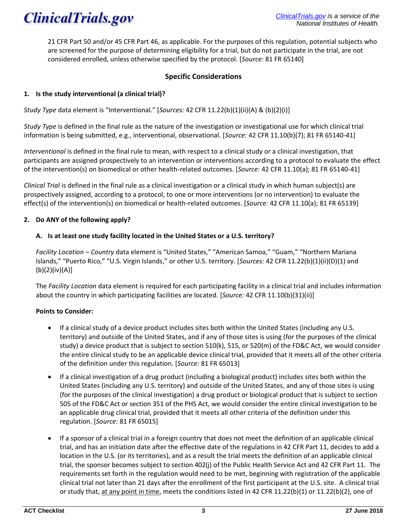

21 CFR Part 50 and/or 45 CFR Part 46, as applicable. For the purposes of this regulation, potential subjects who are screened for the purpose of determining eligibility for a trial, but do not participate in the trial, are not considered enrolled, unless otherwise specified by the protocol. [*Source:* 81 FR 65140]

### **Specific Considerations**

### **1. Is the study interventional (a clinical trial)?**

*Study Type* data element is "Interventional." [*Sources:* 42 CFR 11.22(b)(1)(ii)(A) & (b)(2)(i)]

*Study Type* is defined in the final rule as the nature of the investigation or investigational use for which clinical trial information is being submitted, e.g., interventional, observational. [*Source:* 42 CFR 11.10(b)(7); 81 FR 65140-41]

*Interventional* is defined in the final rule to mean, with respect to a clinical study or a clinical investigation, that participants are assigned prospectively to an intervention or interventions according to a protocol to evaluate the effect of the intervention(s) on biomedical or other health-related outcomes. [*Source:* 42 CFR 11.10(a); 81 FR 65140-41]

*Clinical Trial* is defined in the final rule as a clinical investigation or a clinical study in which human subject(s) are prospectively assigned, according to a protocol, to one or more interventions (or no intervention) to evaluate the effect(s) of the intervention(s) on biomedical or health-related outcomes. [*Source:* 42 CFR 11.10(a); 81 FR 65139]

### **2. Do ANY of the following apply?**

### **A. Is at least one study facility located in the United States or a U.S. territory?**

*Facility Location – Country* data element is "United States," "American Samoa," "Guam," "Northern Mariana Islands," "Puerto Rico," "U.S. Virgin Islands," or other U.S. territory. [*Sources:* 42 CFR 11.22(b)(1)(ii)(D)(1) and (b)(2)(iv)(A)]

The *Facility Location* data element is required for each participating facility in a clinical trial and includes information about the country in which participating facilities are located. [*Source:* 42 CFR 11.10(b)(31)(ii)]

### **Points to Consider:**

- If a clinical study of a device product includes sites both within the United States (including any U.S. territory) and outside of the United States, and if any of those sites is using (for the purposes of the clinical study) a device product that is subject to section 510(k), 515, or 520(m) of the FD&C Act, we would consider the entire clinical study to be an applicable device clinical trial, provided that it meets all of the other criteria of the definition under this regulation. [*Source:* 81 FR 65013]
- If a clinical investigation of a drug product (including a biological product) includes sites both within the United States (including any U.S. territory) and outside of the United States, and any of those sites is using (for the purposes of the clinical investigation) a drug product or biological product that is subject to section 505 of the FD&C Act or section 351 of the PHS Act, we would consider the entire clinical investigation to be an applicable drug clinical trial, provided that it meets all other criteria of the definition under this regulation. [*Source:* 81 FR 65015]
- If a sponsor of a clinical trial in a foreign country that does not meet the definition of an applicable clinical trial, and has an initiation date after the effective date of the regulations in 42 CFR Part 11, decides to add a location in the U.S. (or its territories), and as a result the trial meets the definition of an applicable clinical trial, the sponsor becomes subject to section 402(j) of the Public Health Service Act and 42 CFR Part 11. The requirements set forth in the regulation would need to be met, beginning with registration of the applicable clinical trial not later than 21 days after the enrollment of the first participant at the U.S. site. A clinical trial or study that, at any point in time, meets the conditions listed in 42 CFR 11.22(b)(1) or 11.22(b)(2), one of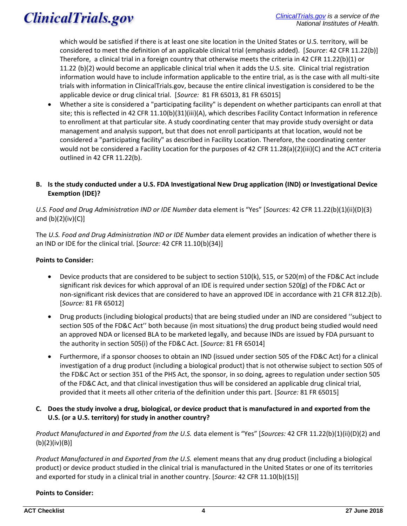which would be satisfied if there is at least one site location in the United States or U.S. territory, will be considered to meet the definition of an applicable clinical trial (emphasis added). [*Source*: 42 CFR 11.22(b)] Therefore, a clinical trial in a foreign country that otherwise meets the criteria in 42 CFR 11.22(b)(1) or 11.22 (b)(2) would become an applicable clinical trial when it adds the U.S. site. Clinical trial registration information would have to include information applicable to the entire trial, as is the case with all multi-site trials with information in ClinicalTrials.gov, because the entire clinical investigation is considered to be the applicable device or drug clinical trial. [*Source:* 81 FR 65013, 81 FR 65015]

• Whether a site is considered a "participating facility" is dependent on whether participants can enroll at that site; this is reflected in 42 CFR 11.10(b)(31)(iii)(A), which describes Facility Contact Information in reference to enrollment at that particular site. A study coordinating center that may provide study oversight or data management and analysis support, but that does not enroll participants at that location, would not be considered a "participating facility" as described in Facility Location. Therefore, the coordinating center would not be considered a Facility Location for the purposes of 42 CFR 11.28(a)(2)(iii)(C) and the ACT criteria outlined in 42 CFR 11.22(b).

### **B. Is the study conducted under a U.S. FDA Investigational New Drug application (IND) or Investigational Device Exemption (IDE)?**

*U.S. Food and Drug Administration IND or IDE Number* data element is "Yes" [*Sources:* 42 CFR 11.22(b)(1)(ii)(D)(3) and  $(b)(2)(iv)(C)$ ]

The *U.S. Food and Drug Administration IND or IDE Number* data element provides an indication of whether there is an IND or IDE for the clinical trial. [*Source:* 42 CFR 11.10(b)(34)]

### **Points to Consider:**

- Device products that are considered to be subject to section 510(k), 515, or 520(m) of the FD&C Act include significant risk devices for which approval of an IDE is required under section 520(g) of the FD&C Act or non-significant risk devices that are considered to have an approved IDE in accordance with 21 CFR 812.2(b). [*Source:* 81 FR 65012]
- Drug products (including biological products) that are being studied under an IND are considered ''subject to section 505 of the FD&C Act'' both because (in most situations) the drug product being studied would need an approved NDA or licensed BLA to be marketed legally, and because INDs are issued by FDA pursuant to the authority in section 505(i) of the FD&C Act. [*Source:* 81 FR 65014]
- Furthermore, if a sponsor chooses to obtain an IND (issued under section 505 of the FD&C Act) for a clinical investigation of a drug product (including a biological product) that is not otherwise subject to section 505 of the FD&C Act or section 351 of the PHS Act, the sponsor, in so doing, agrees to regulation under section 505 of the FD&C Act, and that clinical investigation thus will be considered an applicable drug clinical trial, provided that it meets all other criteria of the definition under this part. [*Source:* 81 FR 65015]
- **C. Does the study involve a drug, biological, or device product that is manufactured in and exported from the U.S. (or a U.S. territory) for study in another country?**

*Product Manufactured in and Exported from the U.S.* data element is "Yes" [*Sources:* 42 CFR 11.22(b)(1)(ii)(D)(2) and (b)(2)(iv)(B)]

*Product Manufactured in and Exported from the U.S.* element means that any drug product (including a biological product) or device product studied in the clinical trial is manufactured in the United States or one of its territories and exported for study in a clinical trial in another country. [*Source:* 42 CFR 11.10(b)(15)]

**Points to Consider:**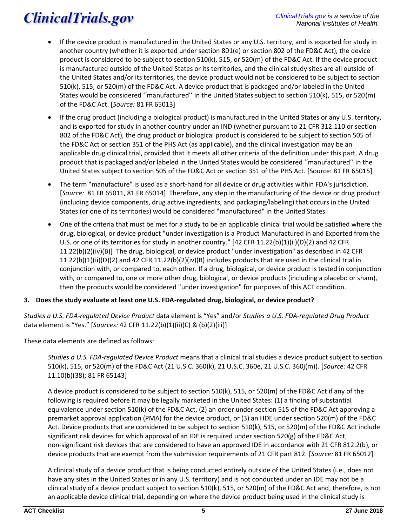- If the device product is manufactured in the United States or any U.S. territory, and is exported for study in another country (whether it is exported under section 801(e) or section 802 of the FD&C Act), the device product is considered to be subject to section 510(k), 515, or 520(m) of the FD&C Act. If the device product is manufactured outside of the United States or its territories, and the clinical study sites are all outside of the United States and/or its territories, the device product would not be considered to be subject to section 510(k), 515, or 520(m) of the FD&C Act. A device product that is packaged and/or labeled in the United States would be considered ''manufactured'' in the United States subject to section 510(k), 515, or 520(m) of the FD&C Act. [*Source:* 81 FR 65013]
- If the drug product (including a biological product) is manufactured in the United States or any U.S. territory, and is exported for study in another country under an IND (whether pursuant to 21 CFR 312.110 or section 802 of the FD&C Act), the drug product or biological product is considered to be subject to section 505 of the FD&C Act or section 351 of the PHS Act (as applicable), and the clinical investigation may be an applicable drug clinical trial, provided that it meets all other criteria of the definition under this part. A drug product that is packaged and/or labeled in the United States would be considered ''manufactured'' in the United States subject to section 505 of the FD&C Act or section 351 of the PHS Act. [Source: 81 FR 65015]
- The term "manufacture" is used as a short-hand for all device or drug activities within FDA's jurisdiction. [*Source:* 81 FR 65011, 81 FR 65014] Therefore, any step in the manufacturing of the device or drug product (including device components, drug active ingredients, and packaging/labeling) that occurs in the United States (or one of its territories) would be considered "manufactured" in the United States.
- One of the criteria that must be met for a study to be an applicable clinical trial would be satisfied where the drug, biological, or device product "under investigation is a Product Manufactured in and Exported from the U.S. or one of its territories for study in another country." [42 CFR 11.22(b)(1)(ii)(D)(2) and 42 CFR 11.22(b)(2)(iv)(B)] The drug, biological, or device product "under investigation" as described in 42 CFR 11.22(b)(1)(ii)(D)(2) and 42 CFR 11.22(b)(2)(iv)(B) includes products that are used in the clinical trial in conjunction with, or compared to, each other. If a drug, biological, or device product is tested in conjunction with, or compared to, one or more other drug, biological, or device products (including a placebo or sham), then the products would be considered "under investigation" for purposes of this ACT condition.

### **3. Does the study evaluate at least one U.S. FDA-regulated drug, biological, or device product?**

*Studies a U.S. FDA-regulated Device Product* data element is "Yes" and/or *Studies a U.S. FDA-regulated Drug Product* data element is "Yes." [*Sources:* 42 CFR 11.22(b)(1)(ii)(C) & (b)(2)(iii)]

These data elements are defined as follows:

*Studies a U.S. FDA-regulated Device Product* means that a clinical trial studies a device product subject to section 510(k), 515, or 520(m) of the FD&C Act (21 U.S.C. 360(k), 21 U.S.C. 360e, 21 U.S.C. 360j(m)). [*Source:* 42 CFR 11.10(b)(38); 81 FR 65143]

A device product is considered to be subject to section 510(k), 515, or 520(m) of the FD&C Act if any of the following is required before it may be legally marketed in the United States: (1) a finding of substantial equivalence under section 510(k) of the FD&C Act, (2) an order under section 515 of the FD&C Act approving a premarket approval application (PMA) for the device product, or (3) an HDE under section 520(m) of the FD&C Act. Device products that are considered to be subject to section 510(k), 515, or 520(m) of the FD&C Act include significant risk devices for which approval of an IDE is required under section 520(g) of the FD&C Act, non-significant risk devices that are considered to have an approved IDE in accordance with 21 CFR 812.2(b), or device products that are exempt from the submission requirements of 21 CFR part 812. [*Source:* 81 FR 65012]

A clinical study of a device product that is being conducted entirely outside of the United States (i.e., does not have any sites in the United States or in any U.S. territory) and is not conducted under an IDE may not be a clinical study of a device product subject to section 510(k), 515, or 520(m) of the FD&C Act and, therefore, is not an applicable device clinical trial, depending on where the device product being used in the clinical study is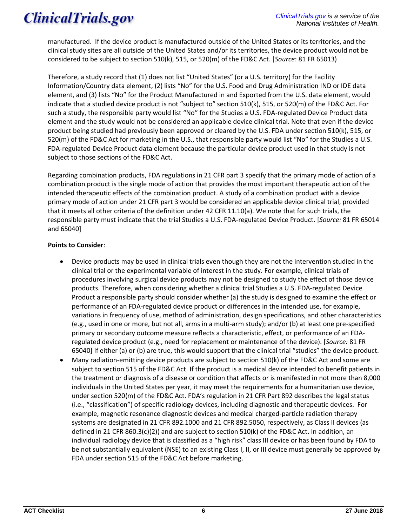manufactured. If the device product is manufactured outside of the United States or its territories, and the clinical study sites are all outside of the United States and/or its territories, the device product would not be considered to be subject to section 510(k), 515, or 520(m) of the FD&C Act. [*Source*: 81 FR 65013)

Therefore, a study record that (1) does not list "United States" (or a U.S. territory) for the Facility Information/Country data element, (2) lists "No" for the U.S. Food and Drug Administration IND or IDE data element, and (3) lists "No" for the Product Manufactured in and Exported from the U.S. data element, would indicate that a studied device product is not "subject to" section 510(k), 515, or 520(m) of the FD&C Act. For such a study, the responsible party would list "No" for the Studies a U.S. FDA-regulated Device Product data element and the study would not be considered an applicable device clinical trial. Note that even if the device product being studied had previously been approved or cleared by the U.S. FDA under section 510(k), 515, or 520(m) of the FD&C Act for marketing in the U.S., that responsible party would list "No" for the Studies a U.S. FDA-regulated Device Product data element because the particular device product used in that study is not subject to those sections of the FD&C Act.

Regarding combination products, FDA regulations in 21 CFR part 3 specify that the primary mode of action of a combination product is the single mode of action that provides the most important therapeutic action of the intended therapeutic effects of the combination product. A study of a combination product with a device primary mode of action under 21 CFR part 3 would be considered an applicable device clinical trial, provided that it meets all other criteria of the definition under 42 CFR 11.10(a). We note that for such trials, the responsible party must indicate that the trial Studies a U.S. FDA-regulated Device Product. [*Source:* 81 FR 65014 and 65040]

### **Points to Consider**:

- Device products may be used in clinical trials even though they are not the intervention studied in the clinical trial or the experimental variable of interest in the study. For example, clinical trials of procedures involving surgical device products may not be designed to study the effect of those device products. Therefore, when considering whether a clinical trial Studies a U.S. FDA-regulated Device Product a responsible party should consider whether (a) the study is designed to examine the effect or performance of an FDA-regulated device product or differences in the intended use, for example, variations in frequency of use, method of administration, design specifications, and other characteristics (e.g., used in one or more, but not all, arms in a multi-arm study); and/or (b) at least one pre-specified primary or secondary outcome measure reflects a characteristic, effect, or performance of an FDAregulated device product (e.g., need for replacement or maintenance of the device). [*Source:* 81 FR 65040] If either (a) or (b) are true, this would support that the clinical trial "studies" the device product.
- Many radiation-emitting device products are subject to section 510(k) of the FD&C Act and some are subject to section 515 of the FD&C Act. If the product is a medical device intended to benefit patients in the treatment or diagnosis of a disease or condition that affects or is manifested in not more than 8,000 individuals in the United States per year, it may meet the requirements for a humanitarian use device, under section 520(m) of the FD&C Act. FDA's regulation in 21 CFR Part 892 describes the legal status (i.e., "classification") of specific radiology devices, including diagnostic and therapeutic devices. For example, magnetic resonance diagnostic devices and medical charged-particle radiation therapy systems are designated in 21 CFR 892.1000 and 21 CFR 892.5050, respectively, as Class II devices (as defined in 21 CFR 860.3(c)(2)) and are subject to section 510(k) of the FD&C Act. In addition, an individual radiology device that is classified as a "high risk" class III device or has been found by FDA to be not substantially equivalent (NSE) to an existing Class I, II, or III device must generally be approved by FDA under section 515 of the FD&C Act before marketing.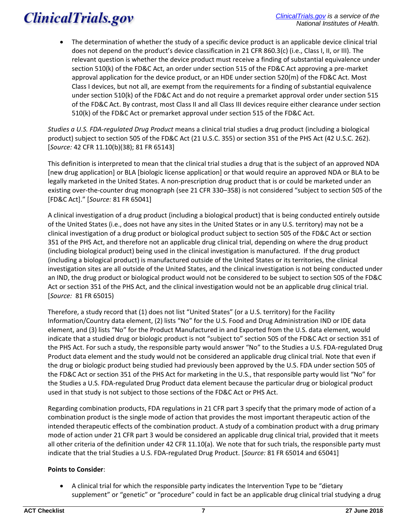• The determination of whether the study of a specific device product is an applicable device clinical trial does not depend on the product's device classification in 21 CFR 860.3(c) (i.e., Class I, II, or III). The relevant question is whether the device product must receive a finding of substantial equivalence under section 510(k) of the FD&C Act, an order under section 515 of the FD&C Act approving a pre-market approval application for the device product, or an HDE under section 520(m) of the FD&C Act. Most Class I devices, but not all, are exempt from the requirements for a finding of substantial equivalence under section 510(k) of the FD&C Act and do not require a premarket approval order under section 515 of the FD&C Act. By contrast, most Class II and all Class III devices require either clearance under section 510(k) of the FD&C Act or premarket approval under section 515 of the FD&C Act.

*Studies a U.S. FDA-regulated Drug Product* means a clinical trial studies a drug product (including a biological product) subject to section 505 of the FD&C Act (21 U.S.C. 355) or section 351 of the PHS Act (42 U.S.C. 262). [*Source:* 42 CFR 11.10(b)(38); 81 FR 65143]

This definition is interpreted to mean that the clinical trial studies a drug that is the subject of an approved NDA [new drug application] or BLA [biologic license application] or that would require an approved NDA or BLA to be legally marketed in the United States. A non-prescription drug product that is or could be marketed under an existing over-the-counter drug monograph (see 21 CFR 330–358) is not considered "subject to section 505 of the [FD&C Act]." [*Source:* 81 FR 65041]

A clinical investigation of a drug product (including a biological product) that is being conducted entirely outside of the United States (i.e., does not have any sites in the United States or in any U.S. territory) may not be a clinical investigation of a drug product or biological product subject to section 505 of the FD&C Act or section 351 of the PHS Act, and therefore not an applicable drug clinical trial, depending on where the drug product (including biological product) being used in the clinical investigation is manufactured. If the drug product (including a biological product) is manufactured outside of the United States or its territories, the clinical investigation sites are all outside of the United States, and the clinical investigation is not being conducted under an IND, the drug product or biological product would not be considered to be subject to section 505 of the FD&C Act or section 351 of the PHS Act, and the clinical investigation would not be an applicable drug clinical trial. [*Source:* 81 FR 65015)

Therefore, a study record that (1) does not list "United States" (or a U.S. territory) for the Facility Information/Country data element, (2) lists "No" for the U.S. Food and Drug Administration IND or IDE data element, and (3) lists "No" for the Product Manufactured in and Exported from the U.S. data element, would indicate that a studied drug or biologic product is not "subject to" section 505 of the FD&C Act or section 351 of the PHS Act. For such a study, the responsible party would answer "No" to the Studies a U.S. FDA-regulated Drug Product data element and the study would not be considered an applicable drug clinical trial. Note that even if the drug or biologic product being studied had previously been approved by the U.S. FDA under section 505 of the FD&C Act or section 351 of the PHS Act for marketing in the U.S., that responsible party would list "No" for the Studies a U.S. FDA-regulated Drug Product data element because the particular drug or biological product used in that study is not subject to those sections of the FD&C Act or PHS Act.

Regarding combination products, FDA regulations in 21 CFR part 3 specify that the primary mode of action of a combination product is the single mode of action that provides the most important therapeutic action of the intended therapeutic effects of the combination product. A study of a combination product with a drug primary mode of action under 21 CFR part 3 would be considered an applicable drug clinical trial, provided that it meets all other criteria of the definition under 42 CFR 11.10(a). We note that for such trials, the responsible party must indicate that the trial Studies a U.S. FDA-regulated Drug Product. [*Source:* 81 FR 65014 and 65041]

### **Points to Consider**:

• A clinical trial for which the responsible party indicates the Intervention Type to be "dietary supplement" or "genetic" or "procedure" could in fact be an applicable drug clinical trial studying a drug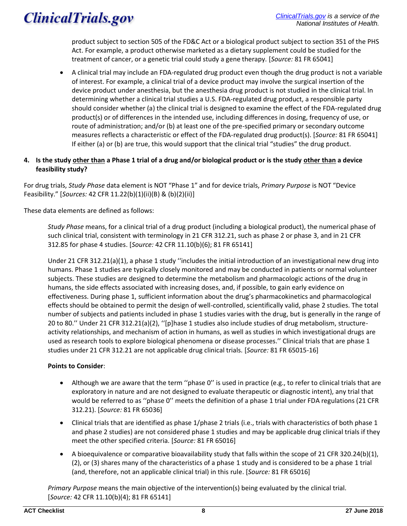product subject to section 505 of the FD&C Act or a biological product subject to section 351 of the PHS Act. For example, a product otherwise marketed as a dietary supplement could be studied for the treatment of cancer, or a genetic trial could study a gene therapy. [*Source:* 81 FR 65041]

• A clinical trial may include an FDA-regulated drug product even though the drug product is not a variable of interest. For example, a clinical trial of a device product may involve the surgical insertion of the device product under anesthesia, but the anesthesia drug product is not studied in the clinical trial. In determining whether a clinical trial studies a U.S. FDA-regulated drug product, a responsible party should consider whether (a) the clinical trial is designed to examine the effect of the FDA-regulated drug product(s) or of differences in the intended use, including differences in dosing, frequency of use, or route of administration; and/or (b) at least one of the pre-specified primary or secondary outcome measures reflects a characteristic or effect of the FDA-regulated drug product(s). [*Source:* 81 FR 65041] If either (a) or (b) are true, this would support that the clinical trial "studies" the drug product.

### **4. Is the study other than a Phase 1 trial of a drug and/or biological product or is the study other than a device feasibility study?**

For drug trials, *Study Phase* data element is NOT "Phase 1" and for device trials, *Primary Purpose* is NOT "Device Feasibility." [*Sources:* 42 CFR 11.22(b)(1)(ii)(B) & (b)(2)(ii)]

These data elements are defined as follows:

*Study Phase* means, for a clinical trial of a drug product (including a biological product), the numerical phase of such clinical trial, consistent with terminology in 21 CFR 312.21, such as phase 2 or phase 3, and in 21 CFR 312.85 for phase 4 studies. [*Source:* 42 CFR 11.10(b)(6); 81 FR 65141]

Under 21 CFR 312.21(a)(1), a phase 1 study ''includes the initial introduction of an investigational new drug into humans. Phase 1 studies are typically closely monitored and may be conducted in patients or normal volunteer subjects. These studies are designed to determine the metabolism and pharmacologic actions of the drug in humans, the side effects associated with increasing doses, and, if possible, to gain early evidence on effectiveness. During phase 1, sufficient information about the drug's pharmacokinetics and pharmacological effects should be obtained to permit the design of well-controlled, scientifically valid, phase 2 studies. The total number of subjects and patients included in phase 1 studies varies with the drug, but is generally in the range of 20 to 80.'' Under 21 CFR 312.21(a)(2), ''[p]hase 1 studies also include studies of drug metabolism, structureactivity relationships, and mechanism of action in humans, as well as studies in which investigational drugs are used as research tools to explore biological phenomena or disease processes.'' Clinical trials that are phase 1 studies under 21 CFR 312.21 are not applicable drug clinical trials. [*Source:* 81 FR 65015-16]

### **Points to Consider**:

- Although we are aware that the term "phase O" is used in practice (e.g., to refer to clinical trials that are exploratory in nature and are not designed to evaluate therapeutic or diagnostic intent), any trial that would be referred to as ''phase 0'' meets the definition of a phase 1 trial under FDA regulations (21 CFR 312.21). [*Source:* 81 FR 65036]
- Clinical trials that are identified as phase 1/phase 2 trials (i.e., trials with characteristics of both phase 1 and phase 2 studies) are not considered phase 1 studies and may be applicable drug clinical trials if they meet the other specified criteria. [*Source:* 81 FR 65016]
- A bioequivalence or comparative bioavailability study that falls within the scope of 21 CFR 320.24(b)(1), (2), or (3) shares many of the characteristics of a phase 1 study and is considered to be a phase 1 trial (and, therefore, not an applicable clinical trial) in this rule. [*Source:* 81 FR 65016]

*Primary Purpose* means the main objective of the intervention(s) being evaluated by the clinical trial. [*Source:* 42 CFR 11.10(b)(4); 81 FR 65141]